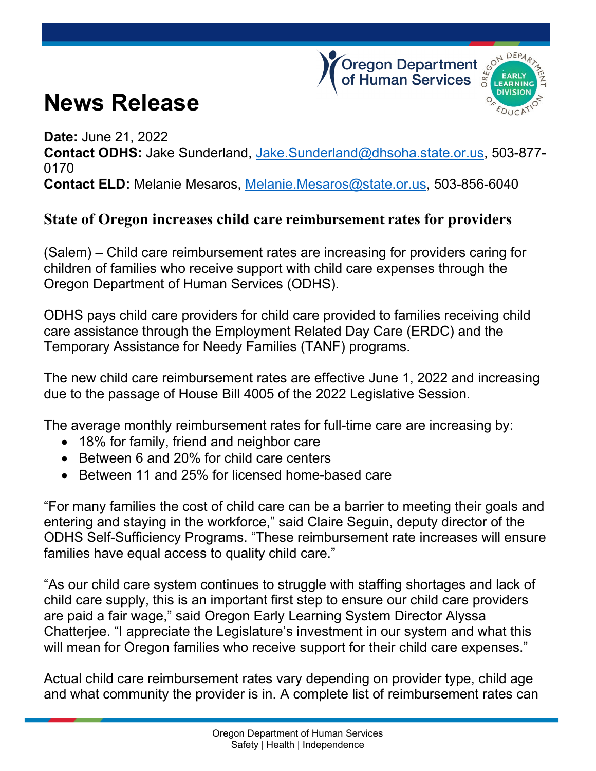## **News Release**





**Date:** June 21, 2022 **Contact ODHS:** Jake Sunderland, [Jake.Sunderland@dhsoha.state.or.us,](mailto:Jake.Sunderland@dhsoha.state.or.us) 503-877- 0170 **Contact ELD:** Melanie Mesaros, [Melanie.Mesaros@state.or.us,](mailto:Melanie.Mesaros@state.or.us) 503-856-6040

## **State of Oregon increases child care reimbursement rates for providers**

(Salem) – Child care reimbursement rates are increasing for providers caring for children of families who receive support with child care expenses through the Oregon Department of Human Services (ODHS).

ODHS pays child care providers for child care provided to families receiving child care assistance through the Employment Related Day Care (ERDC) and the Temporary Assistance for Needy Families (TANF) programs.

The new child care reimbursement rates are effective June 1, 2022 and increasing due to the passage of House Bill 4005 of the 2022 Legislative Session.

The average monthly reimbursement rates for full-time care are increasing by:

- 18% for family, friend and neighbor care
- Between 6 and 20% for child care centers
- Between 11 and 25% for licensed home-based care

"For many families the cost of child care can be a barrier to meeting their goals and entering and staying in the workforce," said Claire Seguin, deputy director of the ODHS Self-Sufficiency Programs. "These reimbursement rate increases will ensure families have equal access to quality child care."

"As our child care system continues to struggle with staffing shortages and lack of child care supply, this is an important first step to ensure our child care providers are paid a fair wage," said Oregon Early Learning System Director Alyssa Chatterjee. "I appreciate the Legislature's investment in our system and what this will mean for Oregon families who receive support for their child care expenses."

Actual child care reimbursement rates vary depending on provider type, child age and what community the provider is in. A complete list of reimbursement rates can